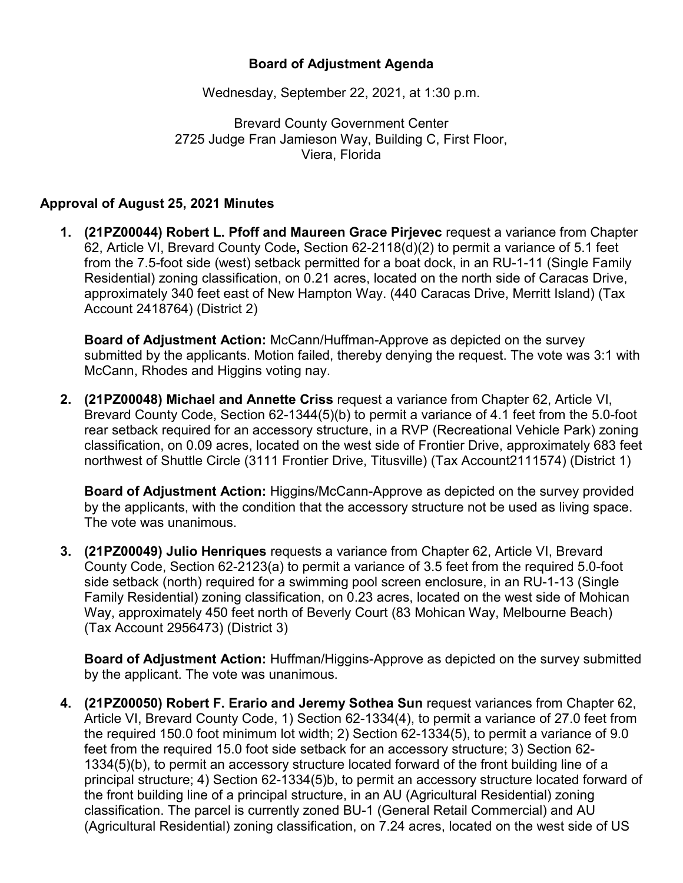## **Board of Adjustment Agenda**

Wednesday, September 22, 2021, at 1:30 p.m.

Brevard County Government Center 2725 Judge Fran Jamieson Way, Building C, First Floor, Viera, Florida

## **Approval of August 25, 2021 Minutes**

**1. (21PZ00044) Robert L. Pfoff and Maureen Grace Pirjevec** request a variance from Chapter 62, Article VI, Brevard County Code**,** Section 62-2118(d)(2) to permit a variance of 5.1 feet from the 7.5-foot side (west) setback permitted for a boat dock, in an RU-1-11 (Single Family Residential) zoning classification, on 0.21 acres, located on the north side of Caracas Drive, approximately 340 feet east of New Hampton Way. (440 Caracas Drive, Merritt Island) (Tax Account 2418764) (District 2)

**Board of Adjustment Action:** McCann/Huffman-Approve as depicted on the survey submitted by the applicants. Motion failed, thereby denying the request. The vote was 3:1 with McCann, Rhodes and Higgins voting nay.

**2. (21PZ00048) Michael and Annette Criss** request a variance from Chapter 62, Article VI, Brevard County Code, Section 62-1344(5)(b) to permit a variance of 4.1 feet from the 5.0-foot rear setback required for an accessory structure, in a RVP (Recreational Vehicle Park) zoning classification, on 0.09 acres, located on the west side of Frontier Drive, approximately 683 feet northwest of Shuttle Circle (3111 Frontier Drive, Titusville) (Tax Account2111574) (District 1)

**Board of Adjustment Action:** Higgins/McCann-Approve as depicted on the survey provided by the applicants, with the condition that the accessory structure not be used as living space. The vote was unanimous.

**3. (21PZ00049) Julio Henriques** requests a variance from Chapter 62, Article VI, Brevard County Code, Section 62-2123(a) to permit a variance of 3.5 feet from the required 5.0-foot side setback (north) required for a swimming pool screen enclosure, in an RU-1-13 (Single Family Residential) zoning classification, on 0.23 acres, located on the west side of Mohican Way, approximately 450 feet north of Beverly Court (83 Mohican Way, Melbourne Beach) (Tax Account 2956473) (District 3)

**Board of Adjustment Action:** Huffman/Higgins-Approve as depicted on the survey submitted by the applicant. The vote was unanimous.

**4. (21PZ00050) Robert F. Erario and Jeremy Sothea Sun** request variances from Chapter 62, Article VI, Brevard County Code, 1) Section 62-1334(4), to permit a variance of 27.0 feet from the required 150.0 foot minimum lot width; 2) Section 62-1334(5), to permit a variance of 9.0 feet from the required 15.0 foot side setback for an accessory structure; 3) Section 62- 1334(5)(b), to permit an accessory structure located forward of the front building line of a principal structure; 4) Section 62-1334(5)b, to permit an accessory structure located forward of the front building line of a principal structure, in an AU (Agricultural Residential) zoning classification. The parcel is currently zoned BU-1 (General Retail Commercial) and AU (Agricultural Residential) zoning classification, on 7.24 acres, located on the west side of US